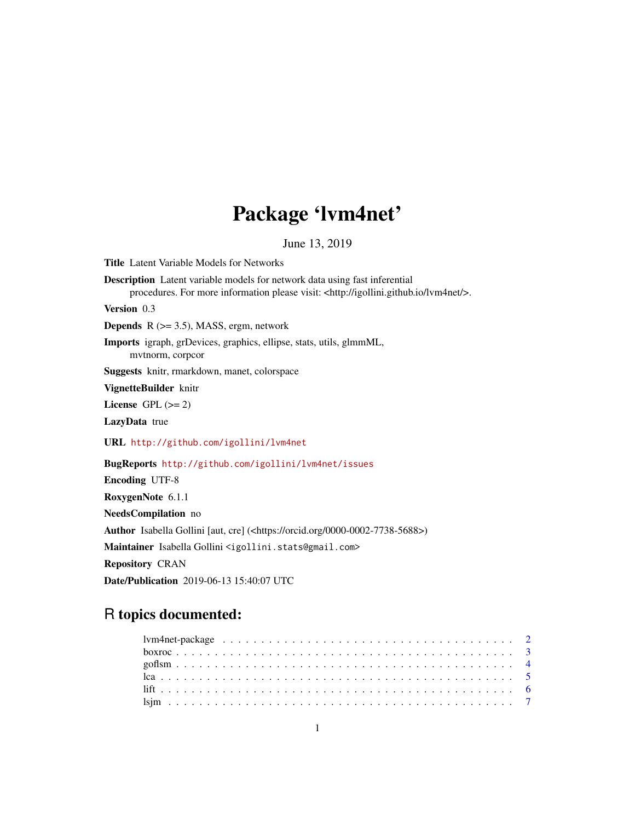# Package 'lvm4net'

June 13, 2019

<span id="page-0-0"></span>Title Latent Variable Models for Networks Description Latent variable models for network data using fast inferential procedures. For more information please visit: <http://igollini.github.io/lvm4net/>. Version 0.3 **Depends** R  $(>= 3.5)$ , MASS, ergm, network Imports igraph, grDevices, graphics, ellipse, stats, utils, glmmML, mvtnorm, corpcor Suggests knitr, rmarkdown, manet, colorspace VignetteBuilder knitr License GPL  $(>= 2)$ LazyData true URL <http://github.com/igollini/lvm4net> BugReports <http://github.com/igollini/lvm4net/issues> Encoding UTF-8 RoxygenNote 6.1.1 NeedsCompilation no Author Isabella Gollini [aut, cre] (<https://orcid.org/0000-0002-7738-5688>) Maintainer Isabella Gollini <igollini.stats@gmail.com> Repository CRAN Date/Publication 2019-06-13 15:40:07 UTC

# R topics documented: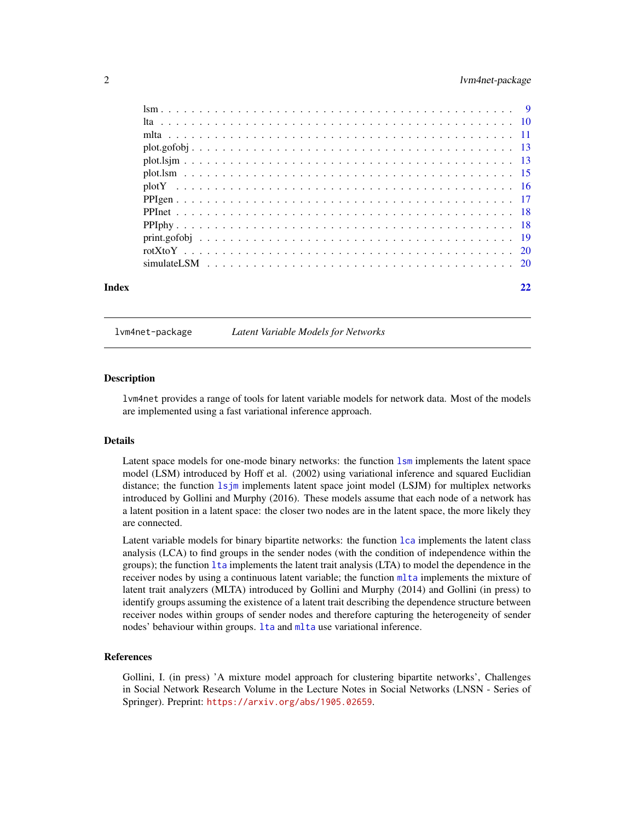# <span id="page-1-0"></span>2 lvm4net-package

| Index |  |  |  |  |  |  |  |  |  |  |  |  |  |  |  |  |  | 22 |
|-------|--|--|--|--|--|--|--|--|--|--|--|--|--|--|--|--|--|----|

lvm4net-package *Latent Variable Models for Networks*

#### **Description**

lvm4net provides a range of tools for latent variable models for network data. Most of the models are implemented using a fast variational inference approach.

#### Details

Latent space models for one-mode binary networks: the function [lsm](#page-8-1) implements the latent space model (LSM) introduced by Hoff et al. (2002) using variational inference and squared Euclidian distance; the function [lsjm](#page-6-1) implements latent space joint model (LSJM) for multiplex networks introduced by Gollini and Murphy (2016). These models assume that each node of a network has a latent position in a latent space: the closer two nodes are in the latent space, the more likely they are connected.

Latent variable models for binary bipartite networks: the function [lca](#page-4-1) implements the latent class analysis (LCA) to find groups in the sender nodes (with the condition of independence within the groups); the function [lta](#page-9-1) implements the latent trait analysis (LTA) to model the dependence in the receiver nodes by using a continuous latent variable; the function [mlta](#page-10-1) implements the mixture of latent trait analyzers (MLTA) introduced by Gollini and Murphy (2014) and Gollini (in press) to identify groups assuming the existence of a latent trait describing the dependence structure between receiver nodes within groups of sender nodes and therefore capturing the heterogeneity of sender nodes' behaviour within groups. It a and m[lta](#page-9-1) use variational inference.

#### References

Gollini, I. (in press) 'A mixture model approach for clustering bipartite networks', Challenges in Social Network Research Volume in the Lecture Notes in Social Networks (LNSN - Series of Springer). Preprint: <https://arxiv.org/abs/1905.02659>.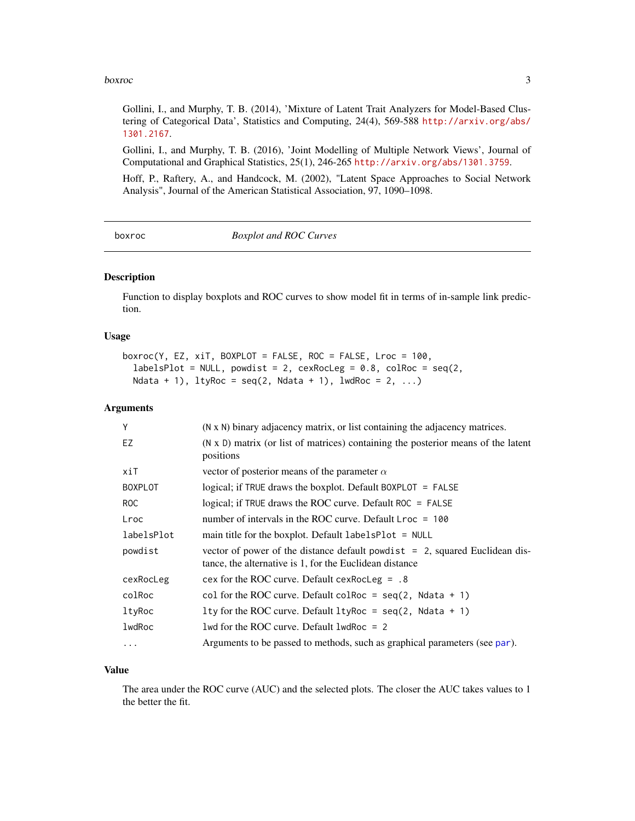#### <span id="page-2-0"></span>boxroc 3

Gollini, I., and Murphy, T. B. (2014), 'Mixture of Latent Trait Analyzers for Model-Based Clustering of Categorical Data', Statistics and Computing, 24(4), 569-588 [http://arxiv.org/abs/](http://arxiv.org/abs/1301.2167) [1301.2167](http://arxiv.org/abs/1301.2167).

Gollini, I., and Murphy, T. B. (2016), 'Joint Modelling of Multiple Network Views', Journal of Computational and Graphical Statistics, 25(1), 246-265 <http://arxiv.org/abs/1301.3759>.

Hoff, P., Raftery, A., and Handcock, M. (2002), "Latent Space Approaches to Social Network Analysis", Journal of the American Statistical Association, 97, 1090–1098.

boxroc *Boxplot and ROC Curves*

# Description

Function to display boxplots and ROC curves to show model fit in terms of in-sample link prediction.

#### Usage

```
boxroc(Y, EZ, xiT, BOXPLOT = FALSE, ROC = FALSE, Lroc = 100,
  labelsPlot = NULL, powdist = 2, cexRocLeg = 0.8, colRoc = seq(2,
 Ndata + 1), ltyRoc = seq(2, Ndata + 1), lwdRoc = 2, ...
```
#### Arguments

| Y              | (N x N) binary adjacency matrix, or list containing the adjacency matrices.                                                                 |
|----------------|---------------------------------------------------------------------------------------------------------------------------------------------|
| EZ             | (N x D) matrix (or list of matrices) containing the posterior means of the latent<br>positions                                              |
| xiT            | vector of posterior means of the parameter $\alpha$                                                                                         |
| <b>BOXPLOT</b> | logical; if TRUE draws the boxplot. Default BOXPLOT = FALSE                                                                                 |
| ROC            | logical; if TRUE draws the ROC curve. Default $ROC = FALSE$                                                                                 |
| Lroc           | number of intervals in the ROC curve. Default $\text{Lroc} = 100$                                                                           |
| labelsPlot     | main title for the boxplot. Default $labelsPlot = NULL$                                                                                     |
| powdist        | vector of power of the distance default powd is $t = 2$ , squared Euclidean dis-<br>tance, the alternative is 1, for the Euclidean distance |
| cexRocLeg      | cex for the ROC curve. Default cex RocLeg = $.8$                                                                                            |
| colRoc         | col for the ROC curve. Default colRoc = $seq(2, \text{ Ndata } + 1)$                                                                        |
| ltyRoc         | 1ty for the ROC curve. Default $l$ tyRoc = seq(2, Ndata + 1)                                                                                |
| lwdRoc         | 1wd for the ROC curve. Default $1$ wdRoc = 2                                                                                                |
| .              | Arguments to be passed to methods, such as graphical parameters (see par).                                                                  |

# Value

The area under the ROC curve (AUC) and the selected plots. The closer the AUC takes values to 1 the better the fit.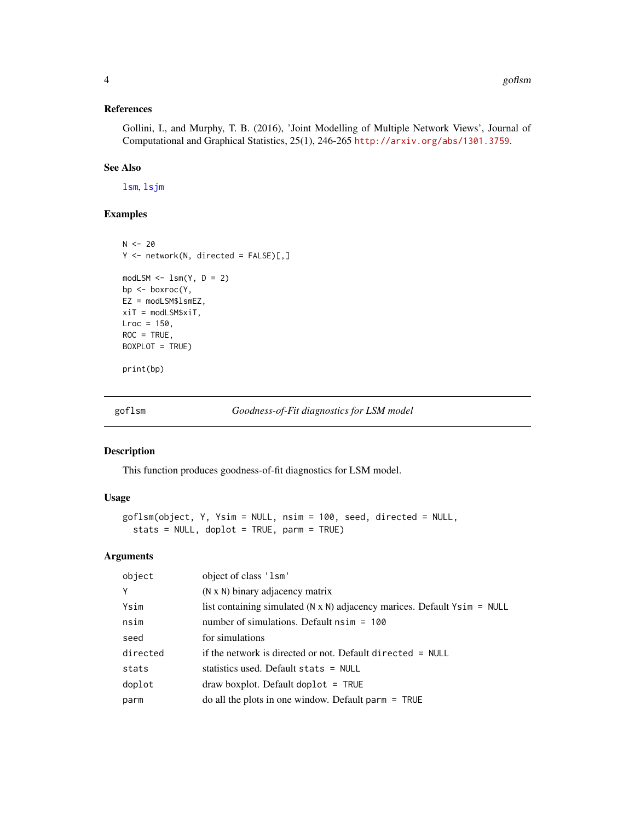# <span id="page-3-0"></span>References

Gollini, I., and Murphy, T. B. (2016), 'Joint Modelling of Multiple Network Views', Journal of Computational and Graphical Statistics, 25(1), 246-265 <http://arxiv.org/abs/1301.3759>.

# See Also

[lsm](#page-8-1), [lsjm](#page-6-1)

# Examples

```
N < -20Y <- network(N, directed = FALSE)[,]
modLSM \leftarrow lsm(Y, D = 2)bp <- boxroc(Y,
EZ = modLSM$lsmEZ,
xiT = modLSM$xiT,
\text{Lroc} = 150,ROC = TRUE,BOXPLOT = TRUE)
print(bp)
```
goflsm *Goodness-of-Fit diagnostics for LSM model*

# Description

This function produces goodness-of-fit diagnostics for LSM model.

#### Usage

```
goflsm(object, Y, Ysim = NULL, nsim = 100, seed, directed = NULL,
  stats = NULL, doplot = TRUE, parm = TRUE)
```

| object   | object of class 'lsm'                                                               |
|----------|-------------------------------------------------------------------------------------|
| Y        | (N x N) binary adjacency matrix                                                     |
| Ysim     | list containing simulated $(N \times N)$ adjacency marices. Default $Y \sin = NULL$ |
| nsim     | number of simulations. Default $nsim = 100$                                         |
| seed     | for simulations                                                                     |
| directed | if the network is directed or not. Default directed $=$ NULL                        |
| stats    | statistics used. Default stats $=$ NULL                                             |
| doplot   | $draw boxplot. Default doplot = TRUE$                                               |
| parm     | $\alpha$ do all the plots in one window. Default parm = TRUE                        |
|          |                                                                                     |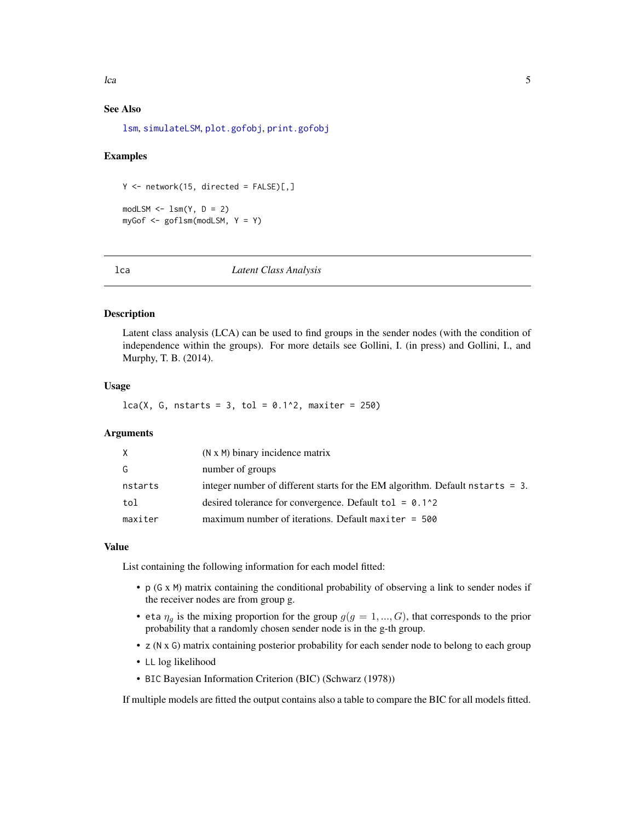# <span id="page-4-0"></span>See Also

[lsm](#page-8-1), [simulateLSM](#page-19-1), [plot.gofobj](#page-12-1), [print.gofobj](#page-18-1)

## Examples

 $Y$  <- network(15, directed = FALSE)[,]

 $modLSM \leq -lsm(Y, D = 2)$ myGof  $\leq$  goflsm(modLSM,  $Y = Y$ )

<span id="page-4-1"></span>lca *Latent Class Analysis*

# **Description**

Latent class analysis (LCA) can be used to find groups in the sender nodes (with the condition of independence within the groups). For more details see Gollini, I. (in press) and Gollini, I., and Murphy, T. B. (2014).

#### Usage

 $lca(X, G, nstarts = 3, tol = 0.1^2, maxiter = 250)$ 

# Arguments

| X       | (N x M) binary incidence matrix                                                  |
|---------|----------------------------------------------------------------------------------|
| G       | number of groups                                                                 |
| nstarts | integer number of different starts for the EM algorithm. Default nstarts $= 3$ . |
| tol     | desired tolerance for convergence. Default tol = $0.1^2$                         |
| maxiter | maximum number of iterations. Default maxiter $= 500$                            |

#### Value

List containing the following information for each model fitted:

- p (G x M) matrix containing the conditional probability of observing a link to sender nodes if the receiver nodes are from group g.
- eta  $\eta_q$  is the mixing proportion for the group  $g(g = 1, ..., G)$ , that corresponds to the prior probability that a randomly chosen sender node is in the g-th group.
- z (N x G) matrix containing posterior probability for each sender node to belong to each group
- LL log likelihood
- BIC Bayesian Information Criterion (BIC) (Schwarz (1978))

If multiple models are fitted the output contains also a table to compare the BIC for all models fitted.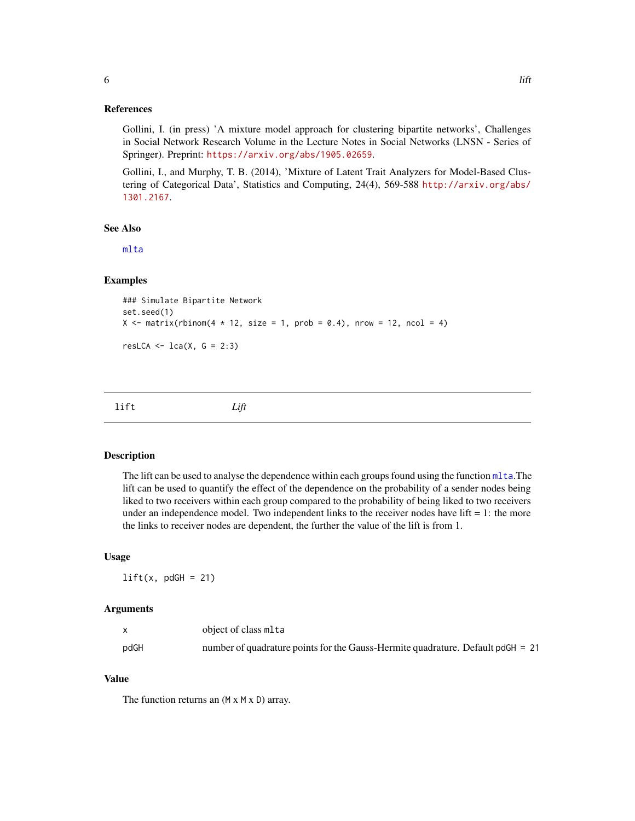# <span id="page-5-0"></span>References

Gollini, I. (in press) 'A mixture model approach for clustering bipartite networks', Challenges in Social Network Research Volume in the Lecture Notes in Social Networks (LNSN - Series of Springer). Preprint: <https://arxiv.org/abs/1905.02659>.

Gollini, I., and Murphy, T. B. (2014), 'Mixture of Latent Trait Analyzers for Model-Based Clustering of Categorical Data', Statistics and Computing, 24(4), 569-588 [http://arxiv.org/abs/](http://arxiv.org/abs/1301.2167) [1301.2167](http://arxiv.org/abs/1301.2167).

# See Also

[mlta](#page-10-1)

# Examples

```
### Simulate Bipartite Network
set.seed(1)
X \le matrix(rbinom(4 * 12, size = 1, prob = 0.4), nrow = 12, ncol = 4)
resLCA \le lca(X, G = 2:3)
```

| lift | Lift |  |  |
|------|------|--|--|
|      |      |  |  |

# Description

The lift can be used to analyse the dependence within each groups found using the function [mlta](#page-10-1).The lift can be used to quantify the effect of the dependence on the probability of a sender nodes being liked to two receivers within each group compared to the probability of being liked to two receivers under an independence model. Two independent links to the receiver nodes have lift  $= 1$ : the more the links to receiver nodes are dependent, the further the value of the lift is from 1.

#### Usage

 $lift(x, pdGH = 21)$ 

#### Arguments

|      | object of class mlta                                                            |
|------|---------------------------------------------------------------------------------|
| pdGH | number of quadrature points for the Gauss-Hermite quadrature. Default pdGH = 21 |

# Value

The function returns an  $(M \times M \times D)$  array.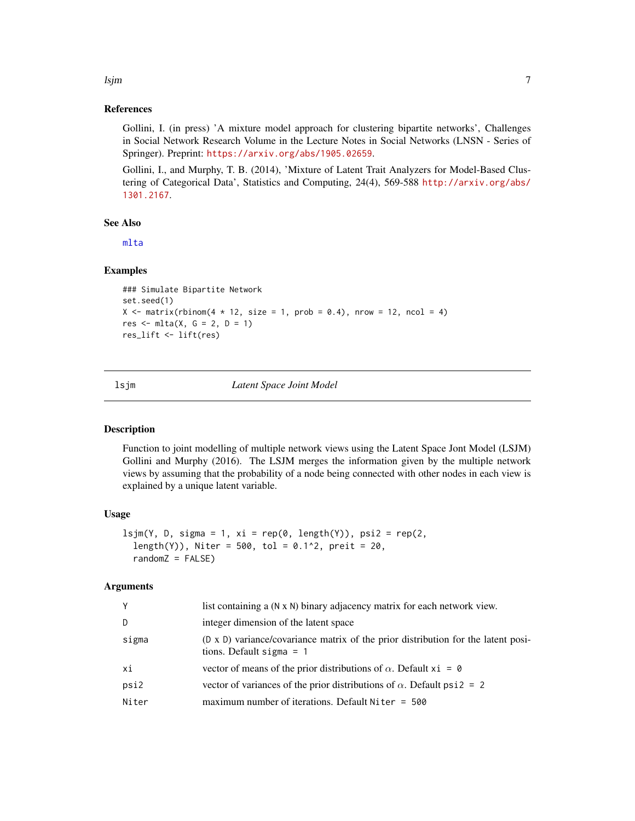# <span id="page-6-0"></span>lsjm 7

# References

Gollini, I. (in press) 'A mixture model approach for clustering bipartite networks', Challenges in Social Network Research Volume in the Lecture Notes in Social Networks (LNSN - Series of Springer). Preprint: <https://arxiv.org/abs/1905.02659>.

Gollini, I., and Murphy, T. B. (2014), 'Mixture of Latent Trait Analyzers for Model-Based Clustering of Categorical Data', Statistics and Computing, 24(4), 569-588 [http://arxiv.org/abs/](http://arxiv.org/abs/1301.2167) [1301.2167](http://arxiv.org/abs/1301.2167).

# See Also

[mlta](#page-10-1)

# Examples

```
### Simulate Bipartite Network
set.seed(1)
X \le matrix(rbinom(4 * 12, size = 1, prob = 0.4), nrow = 12, ncol = 4)
res \leq mlta(X, G = 2, D = 1)res_lift <- lift(res)
```
<span id="page-6-1"></span>

#### lsjm *Latent Space Joint Model*

#### Description

Function to joint modelling of multiple network views using the Latent Space Jont Model (LSJM) Gollini and Murphy (2016). The LSJM merges the information given by the multiple network views by assuming that the probability of a node being connected with other nodes in each view is explained by a unique latent variable.

#### Usage

```
lsjm(Y, D, sigma = 1, xi = rep(0, length(Y)), psi2 = rep(2,length(Y), Niter = 500, tol = 0.1^2, preit = 20,
  randomZ = FALSE)
```

| Y     | list containing a (N x N) binary adjacency matrix for each network view.                                        |
|-------|-----------------------------------------------------------------------------------------------------------------|
| D     | integer dimension of the latent space.                                                                          |
| sigma | (D x D) variance/covariance matrix of the prior distribution for the latent posi-<br>tions. Default sigma $= 1$ |
| хi    | vector of means of the prior distributions of $\alpha$ . Default xi = 0                                         |
| psi2  | vector of variances of the prior distributions of $\alpha$ . Default psi2 = 2                                   |
| Niter | maximum number of iterations. Default Niter $= 500$                                                             |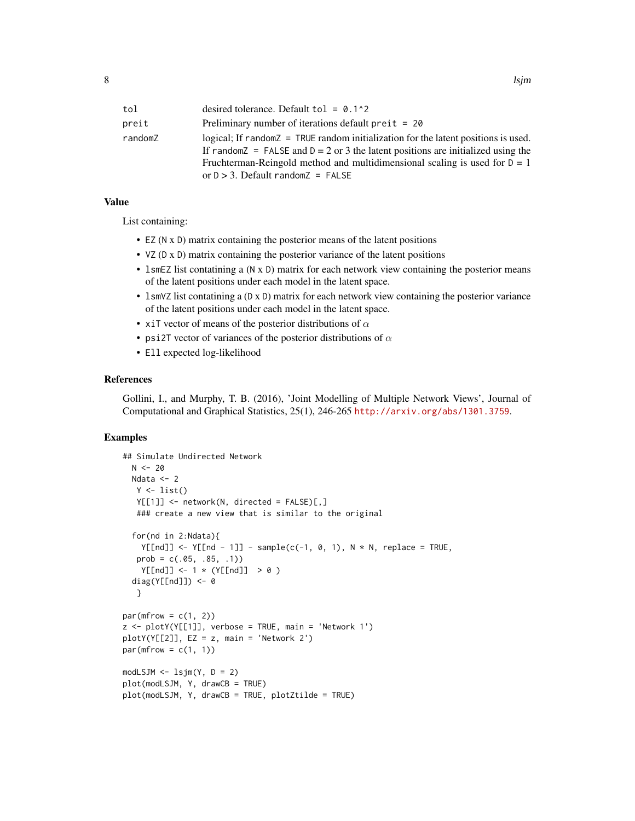| tol     | desired tolerance. Default to $1 = 0.1^2$                                                |
|---------|------------------------------------------------------------------------------------------|
| preit   | Preliminary number of iterations default $preit = 20$                                    |
| randomZ | logical; If $r$ and $z$ = $TRUE$ random initialization for the latent positions is used. |
|         | If random $Z = FALSE$ and $D = 2$ or 3 the latent positions are initialized using the    |
|         | Fruchterman-Reingold method and multidimensional scaling is used for $D = 1$             |
|         | or $D > 3$ . Default randomZ = FALSE                                                     |

# Value

List containing:

- EZ (N x D) matrix containing the posterior means of the latent positions
- VZ (D x D) matrix containing the posterior variance of the latent positions
- 1smEZ list contatining a (N x D) matrix for each network view containing the posterior means of the latent positions under each model in the latent space.
- lsmVZ list contatining a (D x D) matrix for each network view containing the posterior variance of the latent positions under each model in the latent space.
- xiT vector of means of the posterior distributions of  $\alpha$
- psi2T vector of variances of the posterior distributions of  $\alpha$
- Ell expected log-likelihood

# References

Gollini, I., and Murphy, T. B. (2016), 'Joint Modelling of Multiple Network Views', Journal of Computational and Graphical Statistics, 25(1), 246-265 <http://arxiv.org/abs/1301.3759>.

```
## Simulate Undirected Network
 N < -20Ndata <- 2
  Y \leftarrow list()Y[[1]] <- network(N, directed = FALSE)[,]
   ### create a new view that is similar to the original
 for(nd in 2:Ndata){
   Y[\text{Ind}]] <- Y[\text{Ind} - 1]] - sample(c(-1, 0, 1), N * N, replace = TRUE,
   prob = c(.05, .85, .1))Y[[nd]] <- 1 * (Y[[nd]] > 0 )
 diag(Y[[nd]]) <- 0
  }
par(mfrow = c(1, 2))z \le plotY(Y[[1]], verbose = TRUE, main = 'Network 1')
plotY(Y[[2]], EZ = z, main = 'Network 2')
par(mfrow = c(1, 1))modLSJM \leftarrow lsjm(Y, D = 2)plot(modLSJM, Y, drawCB = TRUE)
plot(modLSJM, Y, drawCB = TRUE, plotZtilde = TRUE)
```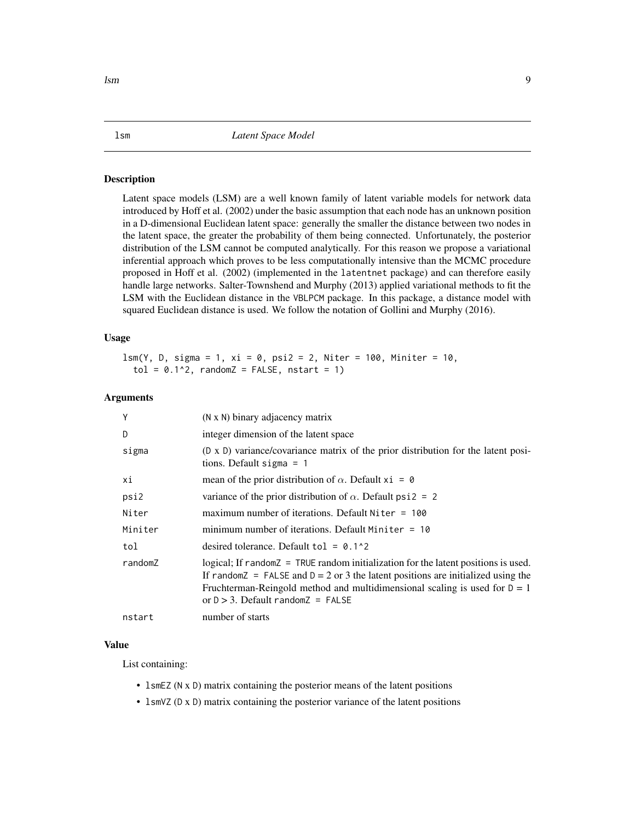<span id="page-8-1"></span><span id="page-8-0"></span>Latent space models (LSM) are a well known family of latent variable models for network data introduced by Hoff et al. (2002) under the basic assumption that each node has an unknown position in a D-dimensional Euclidean latent space: generally the smaller the distance between two nodes in the latent space, the greater the probability of them being connected. Unfortunately, the posterior distribution of the LSM cannot be computed analytically. For this reason we propose a variational inferential approach which proves to be less computationally intensive than the MCMC procedure proposed in Hoff et al. (2002) (implemented in the latentnet package) and can therefore easily handle large networks. Salter-Townshend and Murphy (2013) applied variational methods to fit the LSM with the Euclidean distance in the VBLPCM package. In this package, a distance model with squared Euclidean distance is used. We follow the notation of Gollini and Murphy (2016).

# Usage

lsm(Y, D, sigma = 1, xi = 0, psi2 = 2, Niter = 100, Miniter = 10,  $tol = 0.1<sup>2</sup>$ , randomZ = FALSE, nstart = 1)

# Arguments

| Y       | (N x N) binary adjacency matrix                                                                                                                                                                                                                                                                                 |
|---------|-----------------------------------------------------------------------------------------------------------------------------------------------------------------------------------------------------------------------------------------------------------------------------------------------------------------|
| D       | integer dimension of the latent space                                                                                                                                                                                                                                                                           |
| sigma   | (D x D) variance/covariance matrix of the prior distribution for the latent posi-<br>tions. Default sigma $= 1$                                                                                                                                                                                                 |
| хi      | mean of the prior distribution of $\alpha$ . Default xi = 0                                                                                                                                                                                                                                                     |
| psi2    | variance of the prior distribution of $\alpha$ . Default psi2 = 2                                                                                                                                                                                                                                               |
| Niter   | maximum number of iterations. Default Niter $= 100$                                                                                                                                                                                                                                                             |
| Miniter | minimum number of iterations. Default Miniter $= 10$                                                                                                                                                                                                                                                            |
| tol     | desired tolerance. Default to $1 = 0.1$ ^2                                                                                                                                                                                                                                                                      |
| randomZ | logical; If $r$ and $\delta$ = TRUE random initialization for the latent positions is used.<br>If random $Z = FALSE$ and $D = 2$ or 3 the latent positions are initialized using the<br>Fruchterman-Reingold method and multidimensional scaling is used for $D = 1$<br>or $D > 3$ . Default random $Z = FALSE$ |
| nstart  | number of starts                                                                                                                                                                                                                                                                                                |

#### Value

List containing:

- 1smEZ (N x D) matrix containing the posterior means of the latent positions
- 1smVZ (D x D) matrix containing the posterior variance of the latent positions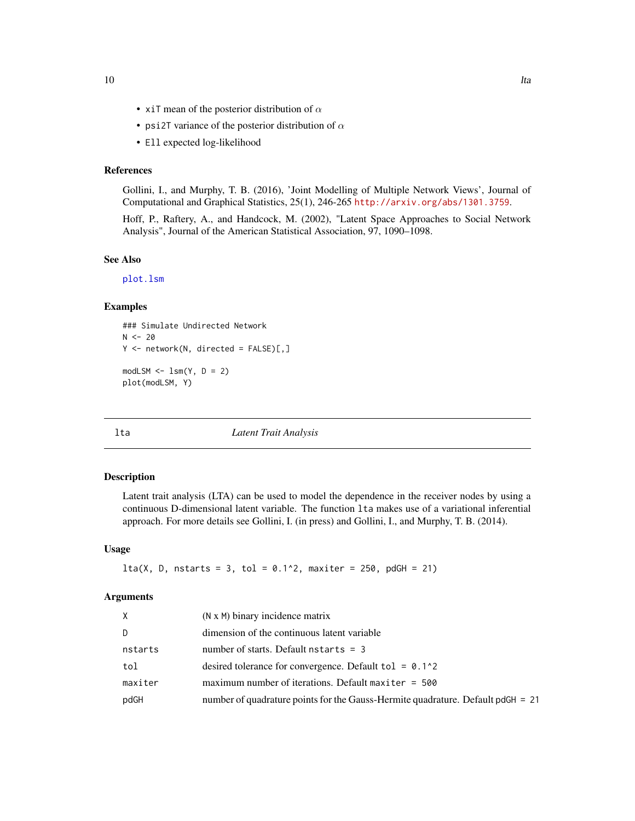- <span id="page-9-0"></span>• xiT mean of the posterior distribution of  $\alpha$
- psi2T variance of the posterior distribution of  $\alpha$
- Ell expected log-likelihood

# References

Gollini, I., and Murphy, T. B. (2016), 'Joint Modelling of Multiple Network Views', Journal of Computational and Graphical Statistics, 25(1), 246-265 <http://arxiv.org/abs/1301.3759>.

Hoff, P., Raftery, A., and Handcock, M. (2002), "Latent Space Approaches to Social Network Analysis", Journal of the American Statistical Association, 97, 1090–1098.

#### See Also

[plot.lsm](#page-14-1)

# Examples

```
### Simulate Undirected Network
N < -20Y \le - network(N, directed = FALSE)[,]
modLSM \leq -lsm(Y, D = 2)plot(modLSM, Y)
```
<span id="page-9-1"></span>lta *Latent Trait Analysis*

#### Description

Latent trait analysis (LTA) can be used to model the dependence in the receiver nodes by using a continuous D-dimensional latent variable. The function lta makes use of a variational inferential approach. For more details see Gollini, I. (in press) and Gollini, I., and Murphy, T. B. (2014).

#### Usage

```
lta(X, D, nstarts = 3, tol = 0.1^2, maxiter = 250, pdGH = 21)
```

| X.      | $(N \times M)$ binary incidence matrix                                          |
|---------|---------------------------------------------------------------------------------|
| D       | dimension of the continuous latent variable                                     |
| nstarts | number of starts. Default nstarts $=$ 3                                         |
| tol     | desired tolerance for convergence. Default tol = $0.1^{\circ}2$                 |
| maxiter | maximum number of iterations. Default maxiter $= 500$                           |
| pdGH    | number of quadrature points for the Gauss-Hermite quadrature. Default pdGH = 21 |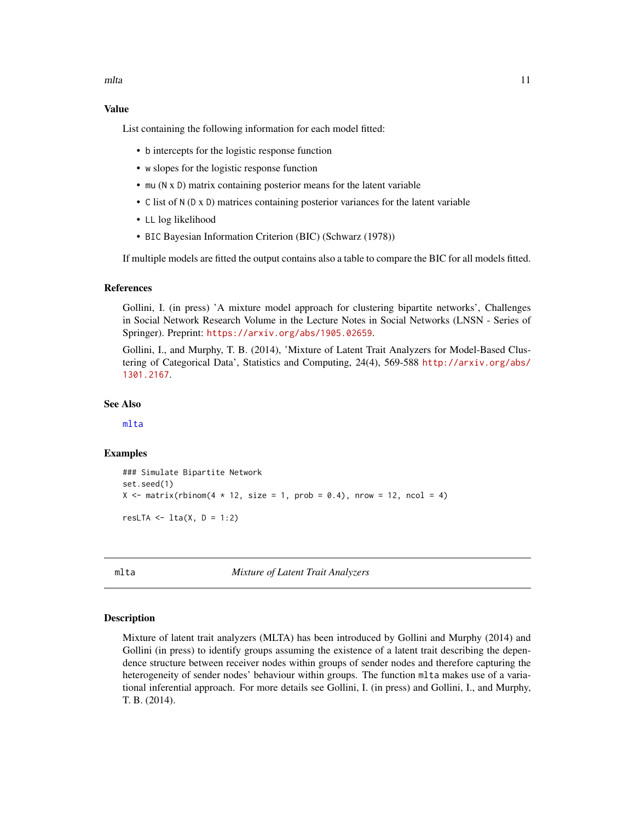<span id="page-10-0"></span>mlta the contract of the contract of the contract of the contract of the contract of the contract of the contract of the contract of the contract of the contract of the contract of the contract of the contract of the contr

# Value

List containing the following information for each model fitted:

- b intercepts for the logistic response function
- w slopes for the logistic response function
- mu (N x D) matrix containing posterior means for the latent variable
- C list of N (D x D) matrices containing posterior variances for the latent variable
- LL log likelihood
- BIC Bayesian Information Criterion (BIC) (Schwarz (1978))

If multiple models are fitted the output contains also a table to compare the BIC for all models fitted.

# References

Gollini, I. (in press) 'A mixture model approach for clustering bipartite networks', Challenges in Social Network Research Volume in the Lecture Notes in Social Networks (LNSN - Series of Springer). Preprint: <https://arxiv.org/abs/1905.02659>.

Gollini, I., and Murphy, T. B. (2014), 'Mixture of Latent Trait Analyzers for Model-Based Clustering of Categorical Data', Statistics and Computing, 24(4), 569-588 [http://arxiv.org/abs/](http://arxiv.org/abs/1301.2167) [1301.2167](http://arxiv.org/abs/1301.2167).

# See Also

[mlta](#page-10-1)

#### Examples

```
### Simulate Bipartite Network
set.seed(1)
X \le matrix(rbinom(4 * 12, size = 1, prob = 0.4), nrow = 12, ncol = 4)
resLTA \leq 1ta(X, D = 1:2)
```
<span id="page-10-1"></span>mlta *Mixture of Latent Trait Analyzers*

#### Description

Mixture of latent trait analyzers (MLTA) has been introduced by Gollini and Murphy (2014) and Gollini (in press) to identify groups assuming the existence of a latent trait describing the dependence structure between receiver nodes within groups of sender nodes and therefore capturing the heterogeneity of sender nodes' behaviour within groups. The function mlta makes use of a variational inferential approach. For more details see Gollini, I. (in press) and Gollini, I., and Murphy, T. B. (2014).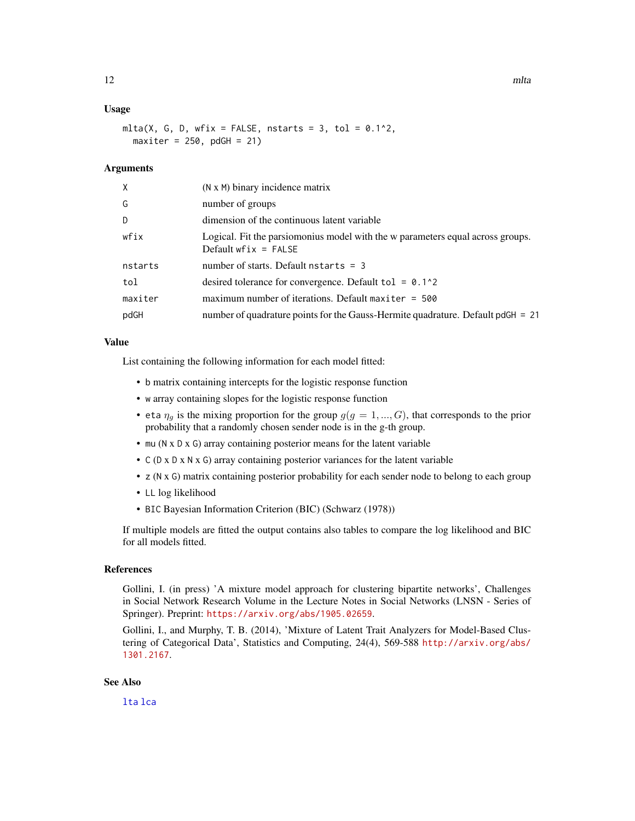# <span id="page-11-0"></span>Usage

mlta(X, G, D, wfix = FALSE, nstarts = 3, tol =  $0.1^2$ ,  $maxiter = 250$ ,  $p dGH = 21$ 

#### Arguments

| X       | (N x M) binary incidence matrix                                                                          |
|---------|----------------------------------------------------------------------------------------------------------|
| G       | number of groups                                                                                         |
| D       | dimension of the continuous latent variable                                                              |
| wfix    | Logical. Fit the parsiomonius model with the w parameters equal across groups.<br>Default $wfix = FALSE$ |
| nstarts | number of starts. Default nstarts $=$ 3                                                                  |
| tol     | desired tolerance for convergence. Default to $1 = 0.1$ ^2                                               |
| maxiter | maximum number of iterations. Default maxiter $= 500$                                                    |
| pdGH    | number of quadrature points for the Gauss-Hermite quadrature. Default pdGH = 21                          |
|         |                                                                                                          |

#### Value

List containing the following information for each model fitted:

- b matrix containing intercepts for the logistic response function
- w array containing slopes for the logistic response function
- eta  $\eta_q$  is the mixing proportion for the group  $g(g = 1, ..., G)$ , that corresponds to the prior probability that a randomly chosen sender node is in the g-th group.
- mu (N x D x G) array containing posterior means for the latent variable
- C (D x D x N x G) array containing posterior variances for the latent variable
- z (N x G) matrix containing posterior probability for each sender node to belong to each group
- LL log likelihood
- BIC Bayesian Information Criterion (BIC) (Schwarz (1978))

If multiple models are fitted the output contains also tables to compare the log likelihood and BIC for all models fitted.

# References

Gollini, I. (in press) 'A mixture model approach for clustering bipartite networks', Challenges in Social Network Research Volume in the Lecture Notes in Social Networks (LNSN - Series of Springer). Preprint: <https://arxiv.org/abs/1905.02659>.

Gollini, I., and Murphy, T. B. (2014), 'Mixture of Latent Trait Analyzers for Model-Based Clustering of Categorical Data', Statistics and Computing, 24(4), 569-588 [http://arxiv.org/abs/](http://arxiv.org/abs/1301.2167) [1301.2167](http://arxiv.org/abs/1301.2167).

# See Also

[lta](#page-9-1) [lca](#page-4-1)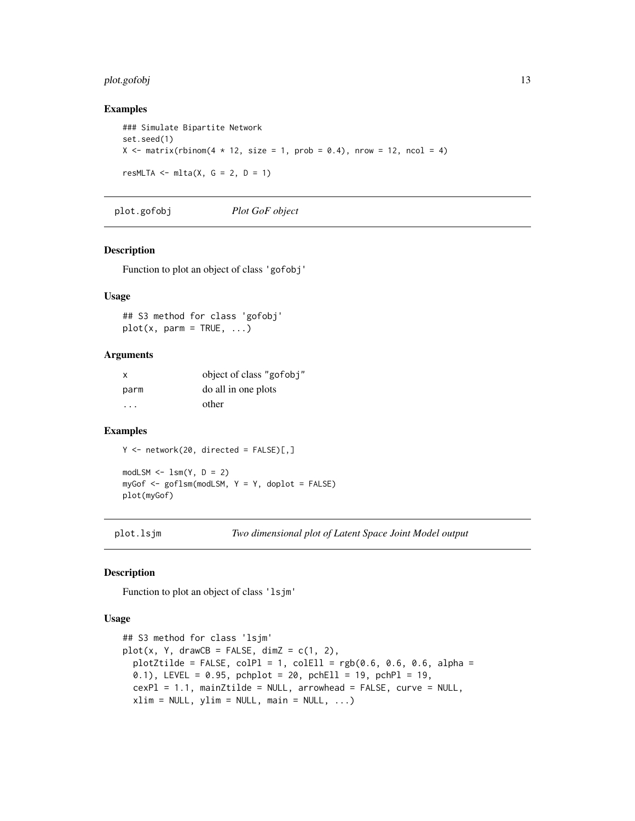# <span id="page-12-0"></span>plot.gofobj 13

# Examples

```
### Simulate Bipartite Network
set.seed(1)
X \le matrix(rbinom(4 * 12, size = 1, prob = 0.4), nrow = 12, ncol = 4)
resMLTA \leq mlta(X, G = 2, D = 1)
```
<span id="page-12-1"></span>plot.gofobj *Plot GoF object*

# Description

Function to plot an object of class 'gofobj'

# Usage

## S3 method for class 'gofobj'  $plot(x, parm = TRUE, ...)$ 

#### Arguments

| x    | object of class "gofobj" |
|------|--------------------------|
| parm | do all in one plots      |
| .    | other                    |

# Examples

 $Y \le -$  network(20, directed = FALSE)[,]

 $modLSM \leftarrow lsm(Y, D = 2)$ myGof <- goflsm(modLSM, Y = Y, doplot = FALSE) plot(myGof)

plot.lsjm *Two dimensional plot of Latent Space Joint Model output*

#### Description

Function to plot an object of class 'lsjm'

#### Usage

```
## S3 method for class 'lsjm'
plot(x, Y, drawCB = FALSE, dimZ = c(1, 2),plotZtilde = FALSE, colP1 = 1, colE11 = rgb(0.6, 0.6, 0.6, alpha =0.1), LEVEL = 0.95, pchplot = 20, pchEll = 19, pchPl = 19,
 cexPI = 1.1, mainZtilde = NULL, arrowhead = FALSE, curve = NULL,
  xlim = NULL, ylim = NULL, main = NULL, ...)
```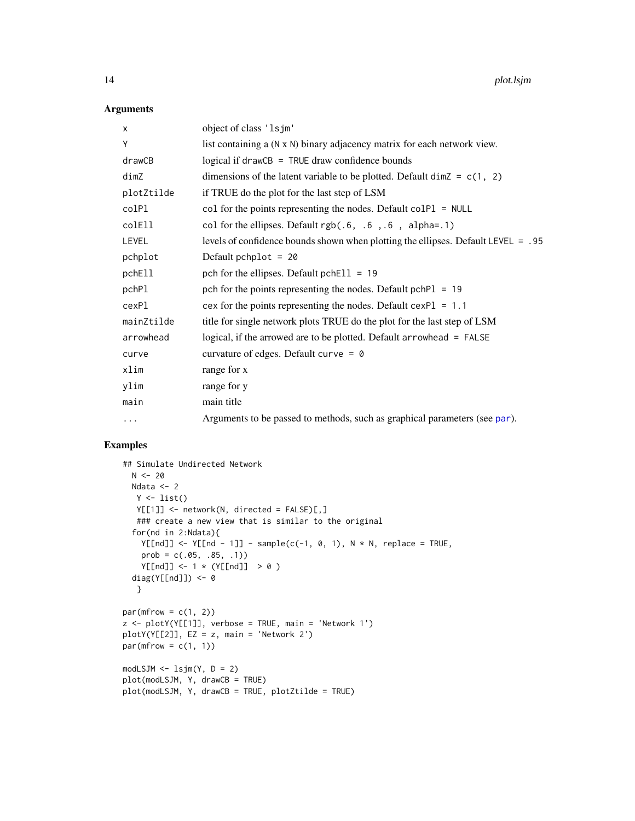# Arguments

| X          | object of class '1sjm'                                                              |
|------------|-------------------------------------------------------------------------------------|
| Υ          | list containing a (N x N) binary adjacency matrix for each network view.            |
| drawCB     | logical if $drawCB = TRUE$ draw confidence bounds                                   |
| dimZ       | dimensions of the latent variable to be plotted. Default $\dim Z = c(1, 2)$         |
| plotZtilde | if TRUE do the plot for the last step of LSM                                        |
| colPl      | col for the points representing the nodes. Default $\text{colPl} = \text{NULL}$     |
| colEll     | col for the ellipses. Default $rgb(.6, .6, .6, a1pha=.1)$                           |
| LEVEL      | levels of confidence bounds shown when plotting the ellipses. Default LEVEL = $.95$ |
| pchplot    | Default pchplot = $20$                                                              |
| pchEll     | pch for the ellipses. Default pchE $11 = 19$                                        |
| pchPl      | pch for the points representing the nodes. Default $pchPI = 19$                     |
| cexPl      | cex for the points representing the nodes. Default $cexPI = 1.1$                    |
| mainZtilde | title for single network plots TRUE do the plot for the last step of LSM            |
| arrowhead  | logical, if the arrowed are to be plotted. Default arrowhead = FALSE                |
| curve      | curvature of edges. Default curve = $\theta$                                        |
| xlim       | range for x                                                                         |
| ylim       | range for y                                                                         |
| main       | main title                                                                          |
| $\cdots$   | Arguments to be passed to methods, such as graphical parameters (see par).          |

```
## Simulate Undirected Network
 N < -20Ndata <- 2
  Y \leftarrow list()Y[[1]] <- network(N, directed = FALSE)[,]
  ### create a new view that is similar to the original
  for(nd in 2:Ndata){
    Y[\text{Ind}]] <- Y[\text{Ind} - 1]] - sample(c(-1, 0, 1), N * N, replace = TRUE,
    prob = c(.05, .85, .1))Y[[nd]] \le -1 * (Y[[nd]] > 0)diag(Y[[nd]]) <- 0
  }
par(mfrow = c(1, 2))z \le plotY(Y[[1]], verbose = TRUE, main = 'Network 1')
plotY(Y[[2]], EZ = z, main = 'Network 2')
par(mfrow = c(1, 1))modLSJM \leftarrow lsjm(Y, D = 2)plot(modLSJM, Y, drawCB = TRUE)
plot(modLSJM, Y, drawCB = TRUE, plotZtilde = TRUE)
```
<span id="page-13-0"></span>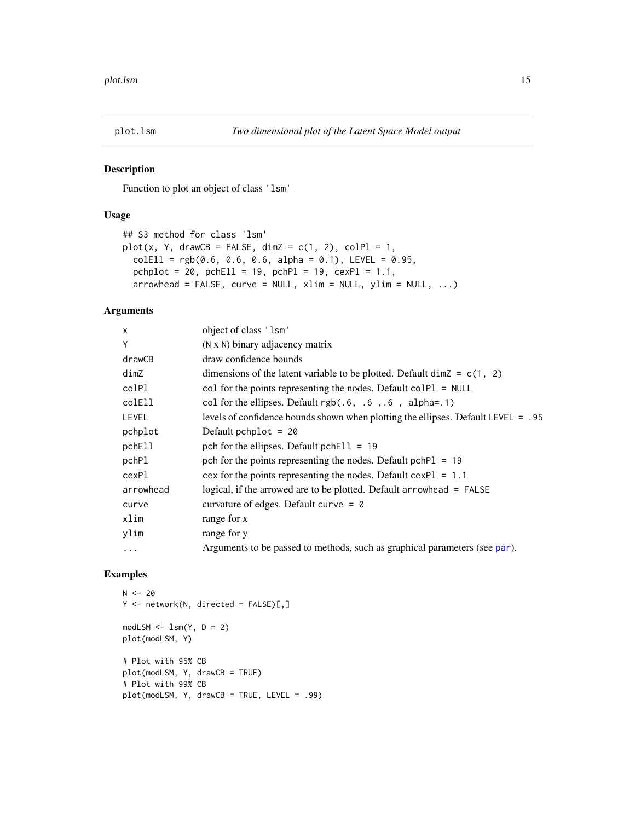<span id="page-14-1"></span><span id="page-14-0"></span>

Function to plot an object of class 'lsm'

### Usage

```
## S3 method for class 'lsm'
plot(x, Y, drawCB = FALSE, dimZ = c(1, 2), colP1 = 1,collEll = rgb(0.6, 0.6, 0.6, alpha = 0.1), LEVEL = 0.95,pchplot = 20, pchEll = 19, pchPl = 19, cexPI = 1.1,
 arrowhead = FALSE, curve = NULL, xlim = NULL, ylim = NULL, ...)
```
# Arguments

| $\mathsf{x}$ | object of class 'lsm'                                                             |
|--------------|-----------------------------------------------------------------------------------|
| Υ            | $(N \times N)$ binary adjacency matrix                                            |
| drawCB       | draw confidence bounds                                                            |
| dimZ         | dimensions of the latent variable to be plotted. Default $\dim Z = c(1, 2)$       |
| colPl        | col for the points representing the nodes. Default $colPI = NULL$                 |
| colEll       | col for the ellipses. Default $rgb(.6, .6, .6, a1pha=.1)$                         |
| <b>LEVEL</b> | levels of confidence bounds shown when plotting the ellipses. Default LEVEL = .95 |
| pchplot      | Default pchplot = $20$                                                            |
| pchEll       | pch for the ellipses. Default pchEll = $19$                                       |
| pchPl        | pch for the points representing the nodes. Default $pchPI = 19$                   |
| cexPl        | cex for the points representing the nodes. Default $cexPI = 1.1$                  |
| arrowhead    | logical, if the arrowed are to be plotted. Default arrowhead = FALSE              |
| curve        | curvature of edges. Default curve = $\theta$                                      |
| xlim         | range for x                                                                       |
| ylim         | range for y                                                                       |
| $\ddots$     | Arguments to be passed to methods, such as graphical parameters (see par).        |
|              |                                                                                   |

```
N < - 20Y <- network(N, directed = FALSE)[,]
modLSM \leftarrow lsm(Y, D = 2)plot(modLSM, Y)
# Plot with 95% CB
plot(modLSM, Y, drawCB = TRUE)
# Plot with 99% CB
plot(modLSM, Y, drawCB = TRUE, LEVEL = .99)
```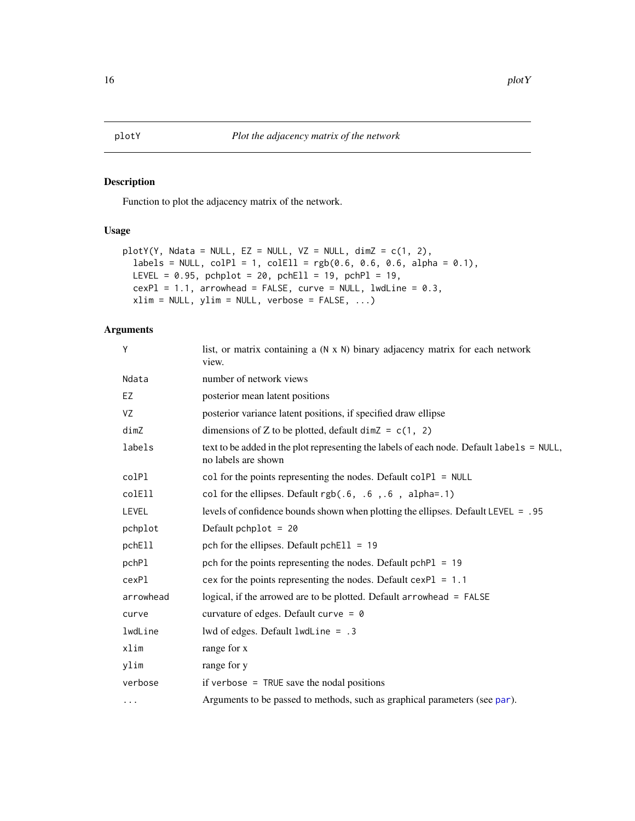<span id="page-15-0"></span>Function to plot the adjacency matrix of the network.

# Usage

```
plotY(Y, Ndata = NULL, EZ = NULL, VZ = NULL, dimZ = c(1, 2),labels = NULL, colPI = 1, colEll = rgb(0.6, 0.6, 0.6, alpha = 0.1),LEVEL = 0.95, pchplot = 20, pchEll = 19, pchPl = 19,
 cexPI = 1.1, arrowhead = FALSE, curve = NULL, lwdLine = 0.3,
 xlim = NULL, ylim = NULL, verbose = FALSE, ...)
```

| Y         | list, or matrix containing a (N x N) binary adjacency matrix for each network<br>view.                           |
|-----------|------------------------------------------------------------------------------------------------------------------|
| Ndata     | number of network views                                                                                          |
| EZ        | posterior mean latent positions                                                                                  |
| VZ        | posterior variance latent positions, if specified draw ellipse                                                   |
| dim Z     | dimensions of Z to be plotted, default dim $Z = c(1, 2)$                                                         |
| labels    | text to be added in the plot representing the labels of each node. Default labels = NULL,<br>no labels are shown |
| colPl     | col for the points representing the nodes. Default $colPI = NULL$                                                |
| colEll    | col for the ellipses. Default $rgb(.6, .6, .6, a1pha=.1)$                                                        |
| LEVEL     | levels of confidence bounds shown when plotting the ellipses. Default LEVEL = .95                                |
| pchplot   | Default pchplot = $20$                                                                                           |
| pchEll    | pch for the ellipses. Default pchEll = $19$                                                                      |
| pchPl     | pch for the points representing the nodes. Default $pchPI = 19$                                                  |
| cexPl     | cex for the points representing the nodes. Default $cexPI = 1.1$                                                 |
| arrowhead | logical, if the arrowed are to be plotted. Default arrowhead = FALSE                                             |
| curve     | curvature of edges. Default curve = $\theta$                                                                     |
| lwdLine   | lwd of edges. Default lwdLine = .3                                                                               |
| xlim      | range for x                                                                                                      |
| ylim      | range for y                                                                                                      |
| verbose   | if verbose $=$ TRUE save the nodal positions                                                                     |
| $\cdots$  | Arguments to be passed to methods, such as graphical parameters (see par).                                       |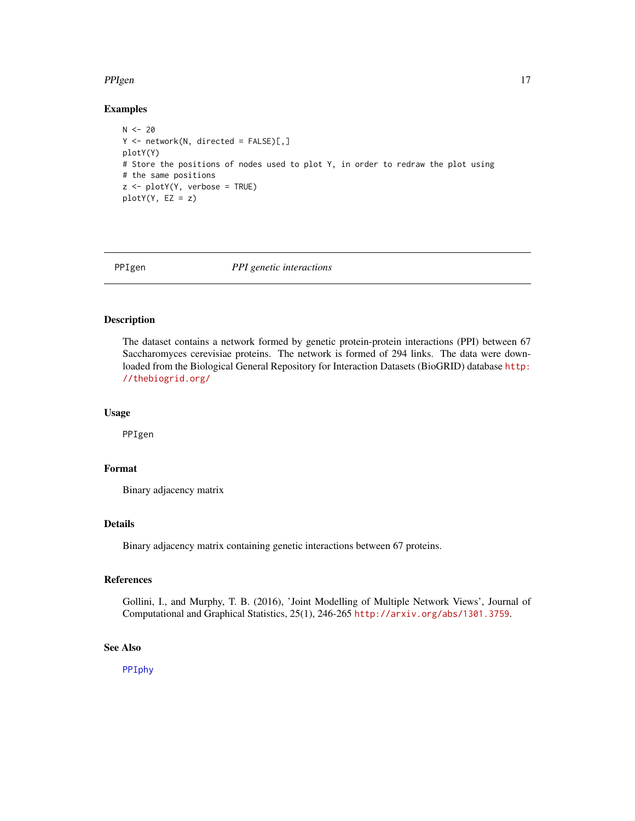# <span id="page-16-0"></span>PPIgen 2020 and 2020 and 2020 and 2020 and 2020 and 2020 and 2020 and 2020 and 2020 and 2020 and 2020 and 2020

# Examples

```
N < -20Y <- network(N, directed = FALSE)[,]
plotY(Y)
# Store the positions of nodes used to plot Y, in order to redraw the plot using
# the same positions
z <- plotY(Y, verbose = TRUE)
plotY(Y, EZ = z)
```
<span id="page-16-1"></span>

PPIgen *PPI genetic interactions*

# Description

The dataset contains a network formed by genetic protein-protein interactions (PPI) between 67 Saccharomyces cerevisiae proteins. The network is formed of 294 links. The data were downloaded from the Biological General Repository for Interaction Datasets (BioGRID) database [http:](http://thebiogrid.org/) [//thebiogrid.org/](http://thebiogrid.org/)

#### Usage

PPIgen

# Format

Binary adjacency matrix

# Details

Binary adjacency matrix containing genetic interactions between 67 proteins.

# References

Gollini, I., and Murphy, T. B. (2016), 'Joint Modelling of Multiple Network Views', Journal of Computational and Graphical Statistics, 25(1), 246-265 <http://arxiv.org/abs/1301.3759>.

# See Also

[PPIphy](#page-17-1)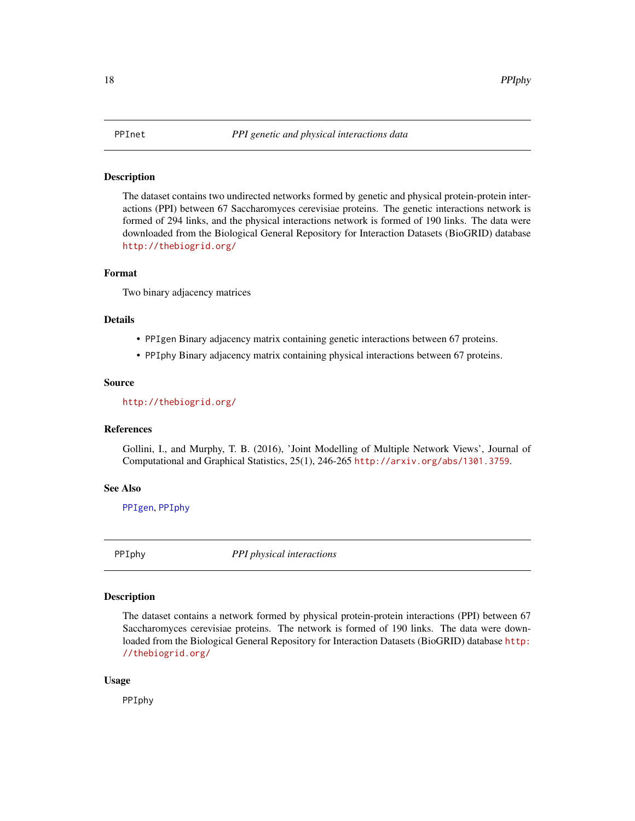<span id="page-17-0"></span>The dataset contains two undirected networks formed by genetic and physical protein-protein interactions (PPI) between 67 Saccharomyces cerevisiae proteins. The genetic interactions network is formed of 294 links, and the physical interactions network is formed of 190 links. The data were downloaded from the Biological General Repository for Interaction Datasets (BioGRID) database <http://thebiogrid.org/>

# Format

Two binary adjacency matrices

#### Details

- PPIgen Binary adjacency matrix containing genetic interactions between 67 proteins.
- PPIphy Binary adjacency matrix containing physical interactions between 67 proteins.

#### Source

<http://thebiogrid.org/>

#### References

Gollini, I., and Murphy, T. B. (2016), 'Joint Modelling of Multiple Network Views', Journal of Computational and Graphical Statistics, 25(1), 246-265 <http://arxiv.org/abs/1301.3759>.

#### See Also

[PPIgen](#page-16-1), [PPIphy](#page-17-1)

<span id="page-17-1"></span>PPIphy *PPI physical interactions*

# Description

The dataset contains a network formed by physical protein-protein interactions (PPI) between 67 Saccharomyces cerevisiae proteins. The network is formed of 190 links. The data were downloaded from the Biological General Repository for Interaction Datasets (BioGRID) database [http:](http://thebiogrid.org/) [//thebiogrid.org/](http://thebiogrid.org/)

#### Usage

PPIphy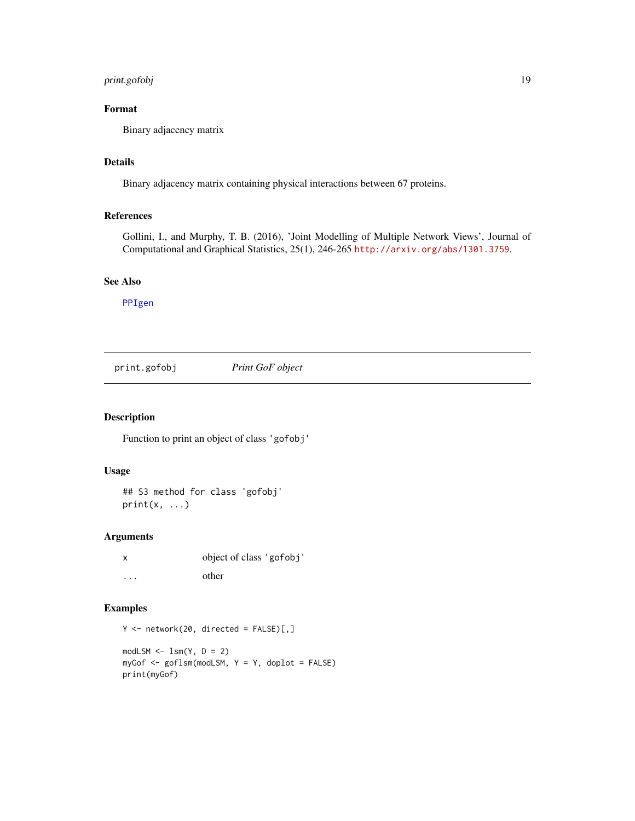# <span id="page-18-0"></span>print.gofobj 19

# Format

Binary adjacency matrix

# Details

Binary adjacency matrix containing physical interactions between 67 proteins.

# References

Gollini, I., and Murphy, T. B. (2016), 'Joint Modelling of Multiple Network Views', Journal of Computational and Graphical Statistics, 25(1), 246-265 <http://arxiv.org/abs/1301.3759>.

## See Also

[PPIgen](#page-16-1)

<span id="page-18-1"></span>print.gofobj *Print GoF object*

# Description

Function to print an object of class 'gofobj'

#### Usage

## S3 method for class 'gofobj'  $print(x, \ldots)$ 

# Arguments

| X                    | object of class 'gofobj' |
|----------------------|--------------------------|
| $\ddot{\phantom{0}}$ | other                    |

```
Y \le - network(20, directed = FALSE)[,]
modLSM \leftarrow lsm(Y, D = 2)myGof \leq-goflsm(modLSM, Y = Y, doplot = FALSE)print(myGof)
```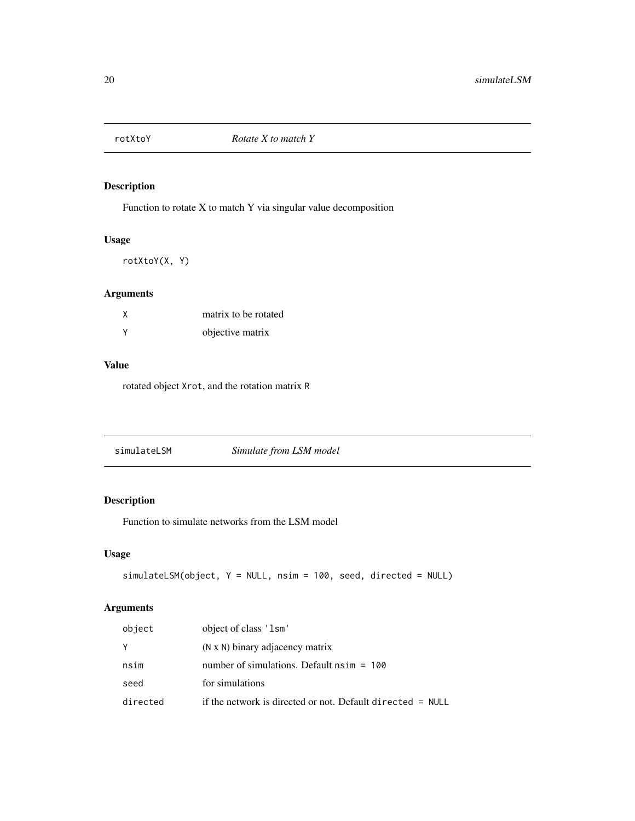<span id="page-19-0"></span>

Function to rotate X to match Y via singular value decomposition

# Usage

rotXtoY(X, Y)

# Arguments

| matrix to be rotated |
|----------------------|
| objective matrix     |

# Value

rotated object Xrot, and the rotation matrix R

<span id="page-19-1"></span>

# Description

Function to simulate networks from the LSM model

# Usage

```
simulateLSM(object, Y = NULL, nsim = 100, seed, directed = NULL)
```

| object   | object of class '1sm'                                        |
|----------|--------------------------------------------------------------|
| Y        | (N x N) binary adjacency matrix                              |
| nsim     | number of simulations. Default $nsim = 100$                  |
| seed     | for simulations                                              |
| directed | if the network is directed or not. Default directed $=$ NULL |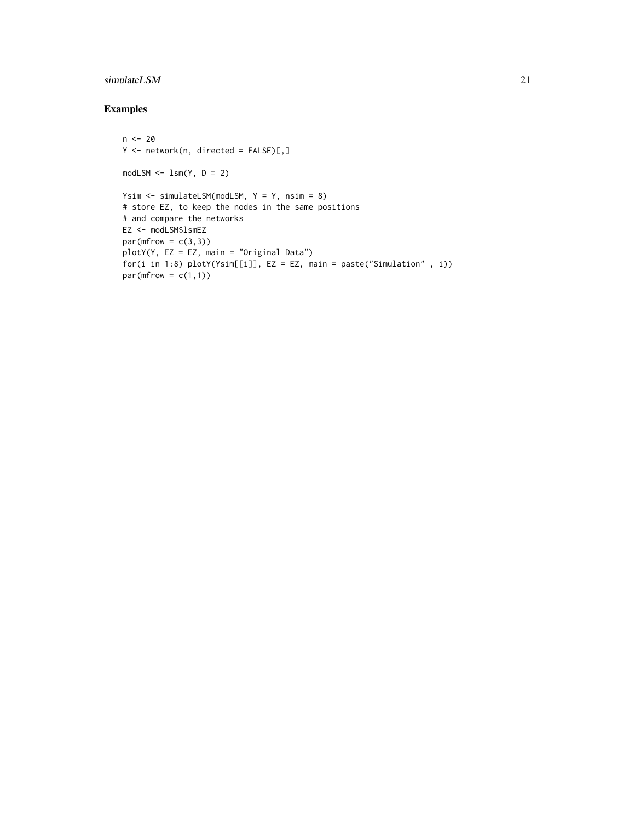# simulateLSM 21

```
n <- 20
Y \leftarrow network(n, directed = FALSE)[,]
modLSM \leq -lsm(Y, D = 2)Ysim <- simulateLSM(modLSM, Y = Y, nsim = 8)
# store EZ, to keep the nodes in the same positions
# and compare the networks
EZ <- modLSM$lsmEZ
par(mfrow = c(3,3))plotY(Y, EZ = EZ, main = "Original Data")
for(i in 1:8) plotY(Ysim[[i]], EZ = EZ, main = paste("Simulation" , i))
par(mfrow = c(1,1))
```